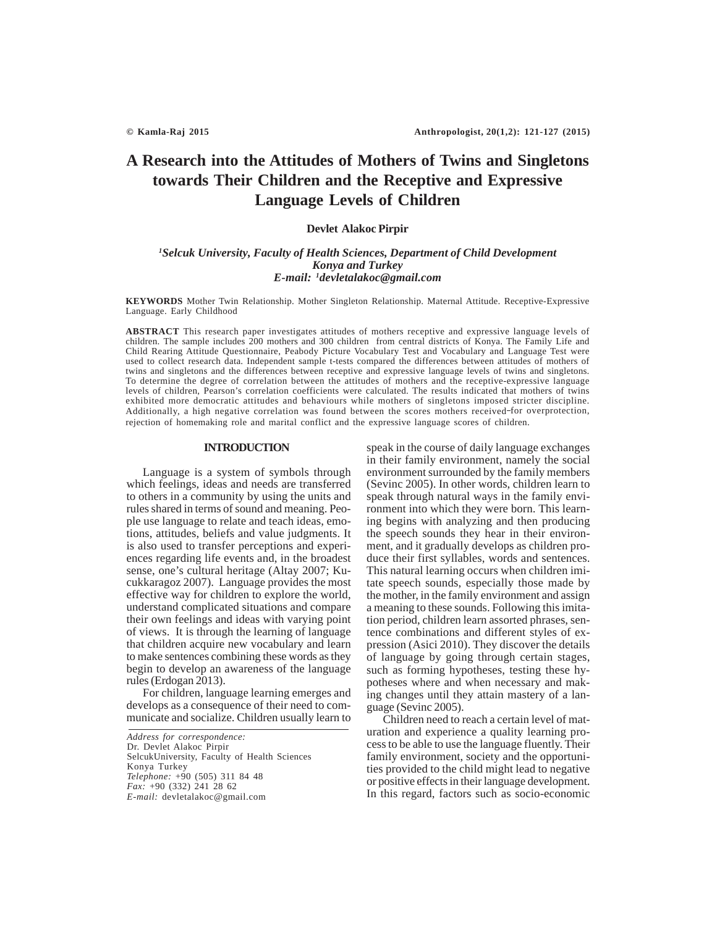# **A Research into the Attitudes of Mothers of Twins and Singletons towards Their Children and the Receptive and Expressive Language Levels of Children**

# **Devlet Alakoc Pirpir**

# *1 Selcuk University, Faculty of Health Sciences, Department of Child Development Konya and Turkey E-mail: 1 devletalakoc@gmail.com*

**KEYWORDS** Mother Twin Relationship. Mother Singleton Relationship. Maternal Attitude. Receptive-Expressive Language. Early Childhood

**ABSTRACT** This research paper investigates attitudes of mothers receptive and expressive language levels of children. The sample includes 200 mothers and 300 children from central districts of Konya. The Family Life and Child Rearing Attitude Questionnaire, Peabody Picture Vocabulary Test and Vocabulary and Language Test were used to collect research data. Independent sample t-tests compared the differences between attitudes of mothers of twins and singletons and the differences between receptive and expressive language levels of twins and singletons. To determine the degree of correlation between the attitudes of mothers and the receptive-expressive language levels of children, Pearson's correlation coefficients were calculated. The results indicated that mothers of twins exhibited more democratic attitudes and behaviours while mothers of singletons imposed stricter discipline. Additionally, a high negative correlation was found between the scores mothers received for overprotection, rejection of homemaking role and marital conflict and the expressive language scores of children.

#### **INTRODUCTION**

Language is a system of symbols through which feelings, ideas and needs are transferred to others in a community by using the units and rules shared in terms of sound and meaning. People use language to relate and teach ideas, emotions, attitudes, beliefs and value judgments. It is also used to transfer perceptions and experiences regarding life events and, in the broadest sense, one's cultural heritage (Altay 2007; Kucukkaragoz 2007). Language provides the most effective way for children to explore the world, understand complicated situations and compare their own feelings and ideas with varying point of views. It is through the learning of language that children acquire new vocabulary and learn to make sentences combining these words as they begin to develop an awareness of the language rules (Erdogan 2013).

For children, language learning emerges and develops as a consequence of their need to communicate and socialize. Children usually learn to

*Address for correspondence:*

Dr. Devlet Alakoc Pirpir

SelcukUniversity, Faculty of Health Sciences Konya Turkey *Telephone:* +90 (505) 311 84 48

*Fax:* +90 (332) 241 28 62 *E-mail:* devletalakoc@gmail.com

speak in the course of daily language exchanges in their family environment, namely the social environment surrounded by the family members (Sevinc 2005). In other words, children learn to speak through natural ways in the family environment into which they were born. This learning begins with analyzing and then producing the speech sounds they hear in their environment, and it gradually develops as children produce their first syllables, words and sentences. This natural learning occurs when children imitate speech sounds, especially those made by the mother, in the family environment and assign a meaning to these sounds. Following this imitation period, children learn assorted phrases, sentence combinations and different styles of expression (Asici 2010). They discover the details of language by going through certain stages, such as forming hypotheses, testing these hypotheses where and when necessary and making changes until they attain mastery of a language (Sevinc 2005).

Children need to reach a certain level of maturation and experience a quality learning process to be able to use the language fluently. Their family environment, society and the opportunities provided to the child might lead to negative or positive effects in their language development. In this regard, factors such as socio-economic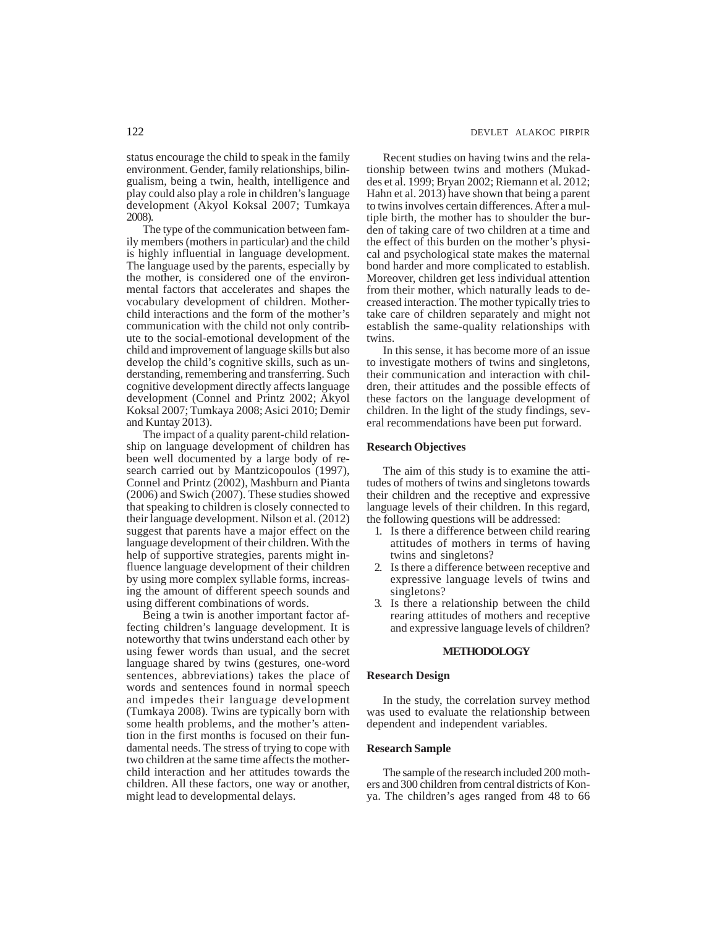status encourage the child to speak in the family environment. Gender, family relationships, bilingualism, being a twin, health, intelligence and play could also play a role in children's language development (Akyol Koksal 2007; Tumkaya 2008).

The type of the communication between family members (mothers in particular) and the child is highly influential in language development. The language used by the parents, especially by the mother, is considered one of the environmental factors that accelerates and shapes the vocabulary development of children. Motherchild interactions and the form of the mother's communication with the child not only contribute to the social-emotional development of the child and improvement of language skills but also develop the child's cognitive skills, such as understanding, remembering and transferring. Such cognitive development directly affects language development (Connel and Printz 2002; Akyol Koksal 2007; Tumkaya 2008; Asici 2010; Demir and Kuntay 2013).

The impact of a quality parent-child relationship on language development of children has been well documented by a large body of research carried out by Mantzicopoulos (1997), Connel and Printz (2002), Mashburn and Pianta (2006) and Swich (2007). These studies showed that speaking to children is closely connected to their language development. Nilson et al. (2012) suggest that parents have a major effect on the language development of their children. With the help of supportive strategies, parents might influence language development of their children by using more complex syllable forms, increasing the amount of different speech sounds and using different combinations of words.

Being a twin is another important factor affecting children's language development. It is noteworthy that twins understand each other by using fewer words than usual, and the secret language shared by twins (gestures, one-word sentences, abbreviations) takes the place of words and sentences found in normal speech and impedes their language development (Tumkaya 2008). Twins are typically born with some health problems, and the mother's attention in the first months is focused on their fundamental needs. The stress of trying to cope with two children at the same time affects the motherchild interaction and her attitudes towards the children. All these factors, one way or another, might lead to developmental delays.

Recent studies on having twins and the relationship between twins and mothers (Mukaddes et al. 1999; Bryan 2002; Riemann et al. 2012; Hahn et al. 2013) have shown that being a parent to twins involves certain differences. After a multiple birth, the mother has to shoulder the burden of taking care of two children at a time and the effect of this burden on the mother's physical and psychological state makes the maternal bond harder and more complicated to establish. Moreover, children get less individual attention from their mother, which naturally leads to decreased interaction. The mother typically tries to take care of children separately and might not establish the same-quality relationships with twins.

In this sense, it has become more of an issue to investigate mothers of twins and singletons, their communication and interaction with children, their attitudes and the possible effects of these factors on the language development of children. In the light of the study findings, several recommendations have been put forward.

#### **Research Objectives**

The aim of this study is to examine the attitudes of mothers of twins and singletons towards their children and the receptive and expressive language levels of their children. In this regard, the following questions will be addressed:

- 1. Is there a difference between child rearing attitudes of mothers in terms of having twins and singletons?
- 2. Is there a difference between receptive and expressive language levels of twins and singletons?
- 3. Is there a relationship between the child rearing attitudes of mothers and receptive and expressive language levels of children?

## **METHODOLOGY**

#### **Research Design**

In the study, the correlation survey method was used to evaluate the relationship between dependent and independent variables.

#### **Research Sample**

The sample of the research included 200 mothers and 300 children from central districts of Konya. The children's ages ranged from 48 to 66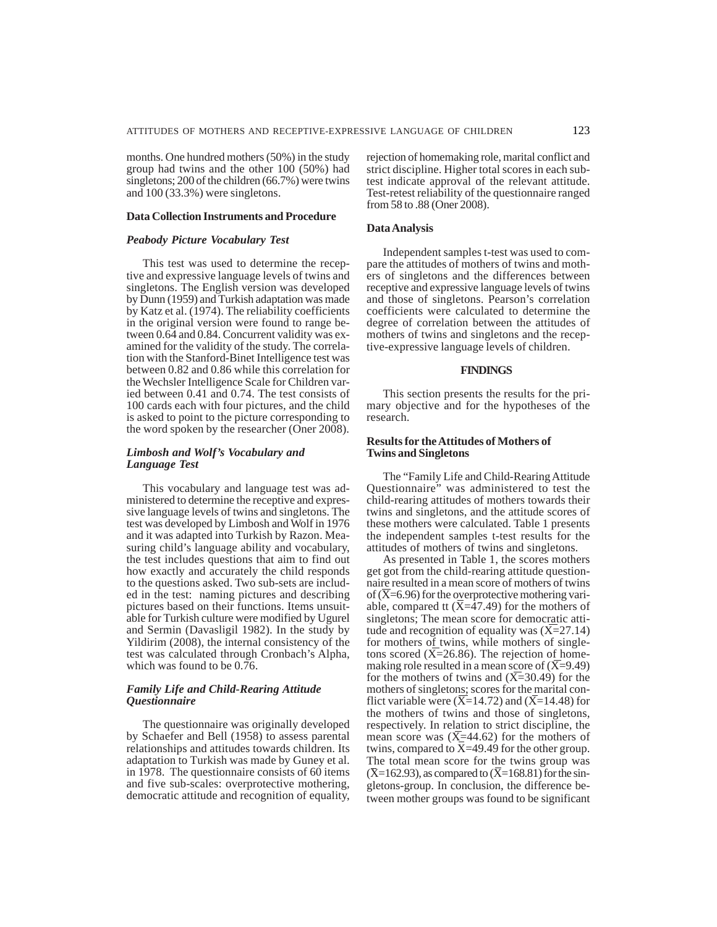months. One hundred mothers (50%) in the study group had twins and the other 100 (50%) had singletons; 200 of the children (66.7%) were twins and 100 (33.3%) were singletons.

#### **Data Collection Instruments and Procedure**

## *Peabody Picture Vocabulary Test*

This test was used to determine the receptive and expressive language levels of twins and singletons. The English version was developed by Dunn (1959) and Turkish adaptation was made by Katz et al. (1974). The reliability coefficients in the original version were found to range between 0.64 and 0.84. Concurrent validity was examined for the validity of the study. The correlation with the Stanford-Binet Intelligence test was between 0.82 and 0.86 while this correlation for the Wechsler Intelligence Scale for Children varied between 0.41 and 0.74. The test consists of 100 cards each with four pictures, and the child is asked to point to the picture corresponding to the word spoken by the researcher (Oner 2008).

# *Limbosh and Wolf's Vocabulary and Language Test*

This vocabulary and language test was administered to determine the receptive and expressive language levels of twins and singletons. The test was developed by Limbosh and Wolf in 1976 and it was adapted into Turkish by Razon. Measuring child's language ability and vocabulary, the test includes questions that aim to find out how exactly and accurately the child responds to the questions asked. Two sub-sets are included in the test: naming pictures and describing pictures based on their functions. Items unsuitable for Turkish culture were modified by Ugurel and Sermin (Davasligil 1982). In the study by Yildirim (2008), the internal consistency of the test was calculated through Cronbach's Alpha, which was found to be 0.76.

# *Family Life and Child-Rearing Attitude Questionnaire*

The questionnaire was originally developed by Schaefer and Bell (1958) to assess parental relationships and attitudes towards children. Its adaptation to Turkish was made by Guney et al. in 1978. The questionnaire consists of 60 items and five sub-scales: overprotective mothering, democratic attitude and recognition of equality,

rejection of homemaking role, marital conflict and strict discipline. Higher total scores in each subtest indicate approval of the relevant attitude. Test-retest reliability of the questionnaire ranged from 58 to .88 (Oner 2008).

## **Data Analysis**

Independent samples t-test was used to compare the attitudes of mothers of twins and mothers of singletons and the differences between receptive and expressive language levels of twins and those of singletons. Pearson's correlation coefficients were calculated to determine the degree of correlation between the attitudes of mothers of twins and singletons and the receptive-expressive language levels of children.

#### **FINDINGS**

This section presents the results for the primary objective and for the hypotheses of the research.

### **Results for the Attitudes of Mothers of Twins and Singletons**

The "Family Life and Child-Rearing Attitude Questionnaire" was administered to test the child-rearing attitudes of mothers towards their twins and singletons, and the attitude scores of these mothers were calculated. Table 1 presents the independent samples t-test results for the attitudes of mothers of twins and singletons.

As presented in Table 1, the scores mothers get got from the child-rearing attitude questionnaire resulted in a mean score of mothers of twins of  $(X=6.96)$  for the overprotective mothering variable, compared tt  $(X=47.49)$  for the mothers of singletons; The mean score for democratic attitude and recognition of equality was  $(X=27.14)$ for mothers of twins, while mothers of singletons scored  $(X=26.86)$ . The rejection of homemaking role resulted in a mean score of  $(X=9.49)$ for the mothers of twins and  $(X=30.49)$  for the mothers of singletons; scores for the marital conflict variable were  $(\overline{X}=14.72)$  and  $(\overline{X}=14.48)$  for the mothers of twins and those of singletons, respectively. In relation to strict discipline, the mean score was  $(X=44.62)$  for the mothers of twins, compared to X=49.49 for the other group. The total mean score for the twins group was  $(\overline{X}$ =162.93), as compared to  $(\overline{X}$ =168.81) for the singletons-group. In conclusion, the difference between mother groups was found to be significant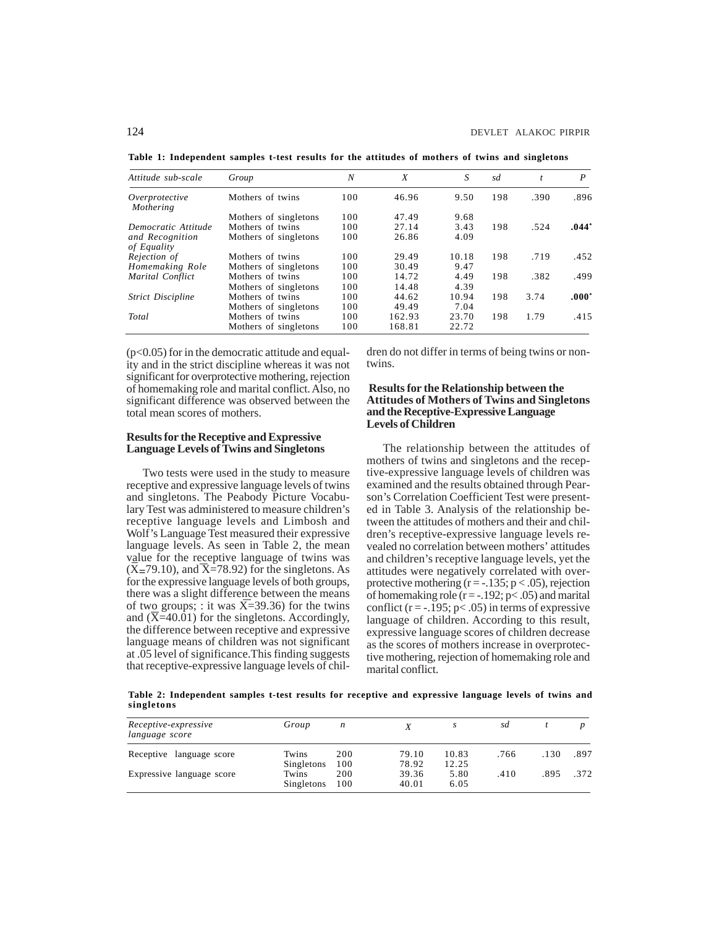| Attitude sub-scale             | Group                 | N   | X      | S     | sd  | t    | $\boldsymbol{P}$ |
|--------------------------------|-----------------------|-----|--------|-------|-----|------|------------------|
| Overprotective<br>Mothering    | Mothers of twins      | 100 | 46.96  | 9.50  | 198 | .390 | .896             |
|                                | Mothers of singletons | 100 | 47.49  | 9.68  |     |      |                  |
| Democratic Attitude            | Mothers of twins      | 100 | 27.14  | 3.43  | 198 | .524 | $.044*$          |
| and Recognition<br>of Equality | Mothers of singletons | 100 | 26.86  | 4.09  |     |      |                  |
| Rejection of                   | Mothers of twins      | 100 | 29.49  | 10.18 | 198 | .719 | .452             |
| Homemaking Role                | Mothers of singletons | 100 | 30.49  | 9.47  |     |      |                  |
| <b>Marital Conflict</b>        | Mothers of twins      | 100 | 14.72  | 4.49  | 198 | .382 | .499             |
|                                | Mothers of singletons | 100 | 14.48  | 4.39  |     |      |                  |
| <b>Strict Discipline</b>       | Mothers of twins      | 100 | 44.62  | 10.94 | 198 | 3.74 | $.000*$          |
|                                | Mothers of singletons | 100 | 49.49  | 7.04  |     |      |                  |
| Total                          | Mothers of twins      | 100 | 162.93 | 23.70 | 198 | 1.79 | .415             |
|                                | Mothers of singletons | 100 | 168.81 | 22.72 |     |      |                  |

**Table 1: Independent samples t-test results for the attitudes of mothers of twins and singletons**

(p<0.05) for in the democratic attitude and equality and in the strict discipline whereas it was not significant for overprotective mothering, rejection of homemaking role and marital conflict. Also, no significant difference was observed between the total mean scores of mothers.

# **Results for the Receptive and Expressive Language Levels of Twins and Singletons**

Two tests were used in the study to measure receptive and expressive language levels of twins and singletons. The Peabody Picture Vocabulary Test was administered to measure children's receptive language levels and Limbosh and Wolf's Language Test measured their expressive language levels. As seen in Table 2, the mean value for the receptive language of twins was  $(X=79.10)$ , and  $X=78.92$ ) for the singletons. As for the expressive language levels of both groups, there was a slight difference between the means of two groups; : it was  $X=39.36$ ) for the twins and  $(\overline{X}=40.01)$  for the singletons. Accordingly, the difference between receptive and expressive language means of children was not significant at .05 level of significance.This finding suggests that receptive-expressive language levels of children do not differ in terms of being twins or nontwins.

# **Results for the Relationship between the Attitudes of Mothers of Twins and Singletons and the Receptive-Expressive Language Levels of Children**

The relationship between the attitudes of mothers of twins and singletons and the receptive-expressive language levels of children was examined and the results obtained through Pearson's Correlation Coefficient Test were presented in Table 3. Analysis of the relationship between the attitudes of mothers and their and children's receptive-expressive language levels revealed no correlation between mothers' attitudes and children's receptive language levels, yet the attitudes were negatively correlated with overprotective mothering  $(r = .135; p < .05)$ , rejection of homemaking role ( $r = -192$ ;  $p < .05$ ) and marital conflict  $(r = -195; p < .05)$  in terms of expressive language of children. According to this result, expressive language scores of children decrease as the scores of mothers increase in overprotective mothering, rejection of homemaking role and marital conflict.

**Table 2: Independent samples t-test results for receptive and expressive language levels of twins and singletons**

| Receptive-expressive<br>language score | Group      | n   |       |       | sd   |      |      |
|----------------------------------------|------------|-----|-------|-------|------|------|------|
| Receptive language score               | Twins      | 200 | 79.10 | 10.83 | .766 | .130 | .897 |
|                                        | Singletons | 100 | 78.92 | 12.25 |      |      |      |
| Expressive language score              | Twins      | 200 | 39.36 | 5.80  | .410 | .895 | .372 |
|                                        | Singletons | 100 | 40.01 | 6.05  |      |      |      |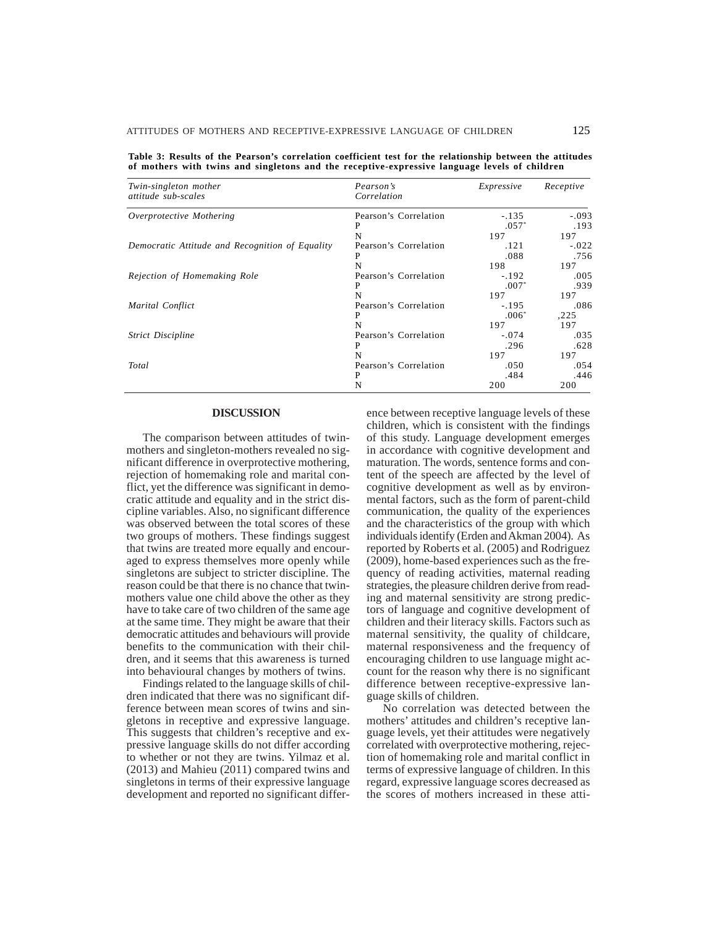| Table 3: Results of the Pearson's correlation coefficient test for the relationship between the attitudes |  |  |  |  |
|-----------------------------------------------------------------------------------------------------------|--|--|--|--|
| of mothers with twins and singletons and the receptive-expressive language levels of children             |  |  |  |  |

| Twin-singleton mother<br>attitude sub-scales    | Pearson's<br>Correlation | Expressive | Receptive |
|-------------------------------------------------|--------------------------|------------|-----------|
| Overprotective Mothering                        | Pearson's Correlation    | $-.135$    | $-.093$   |
|                                                 |                          | $.057*$    | .193      |
|                                                 | N                        | 197        | 197       |
| Democratic Attitude and Recognition of Equality | Pearson's Correlation    | .121       | $-.022$   |
|                                                 | Р                        | .088       | .756      |
|                                                 | N                        | 198        | 197       |
| Rejection of Homemaking Role                    | Pearson's Correlation    | $-.192$    | .005      |
|                                                 | P                        | $.007*$    | .939      |
|                                                 | N                        | 197        | 197       |
| Marital Conflict                                | Pearson's Correlation    | $-.195$    | .086      |
|                                                 | P                        | $.006*$    | .225      |
|                                                 | N                        | 197        | 197       |
| <b>Strict Discipline</b>                        | Pearson's Correlation    | $-.074$    | .035      |
|                                                 | P                        | .296       | .628      |
|                                                 | N                        | 197        | 197       |
| Total                                           | Pearson's Correlation    | .050       | .054      |
|                                                 | Р                        | .484       | .446      |
|                                                 | N                        | 200        | 200       |

## **DISCUSSION**

The comparison between attitudes of twinmothers and singleton-mothers revealed no significant difference in overprotective mothering, rejection of homemaking role and marital conflict, yet the difference was significant in democratic attitude and equality and in the strict discipline variables. Also, no significant difference was observed between the total scores of these two groups of mothers. These findings suggest that twins are treated more equally and encouraged to express themselves more openly while singletons are subject to stricter discipline. The reason could be that there is no chance that twinmothers value one child above the other as they have to take care of two children of the same age at the same time. They might be aware that their democratic attitudes and behaviours will provide benefits to the communication with their children, and it seems that this awareness is turned into behavioural changes by mothers of twins.

Findings related to the language skills of children indicated that there was no significant difference between mean scores of twins and singletons in receptive and expressive language. This suggests that children's receptive and expressive language skills do not differ according to whether or not they are twins. Yilmaz et al. (2013) and Mahieu (2011) compared twins and singletons in terms of their expressive language development and reported no significant difference between receptive language levels of these children, which is consistent with the findings of this study. Language development emerges in accordance with cognitive development and maturation. The words, sentence forms and content of the speech are affected by the level of cognitive development as well as by environmental factors, such as the form of parent-child communication, the quality of the experiences and the characteristics of the group with which individuals identify (Erden and Akman 2004). As reported by Roberts et al. (2005) and Rodriguez (2009), home-based experiences such as the frequency of reading activities, maternal reading strategies, the pleasure children derive from reading and maternal sensitivity are strong predictors of language and cognitive development of children and their literacy skills. Factors such as maternal sensitivity, the quality of childcare, maternal responsiveness and the frequency of encouraging children to use language might account for the reason why there is no significant difference between receptive-expressive language skills of children.

No correlation was detected between the mothers' attitudes and children's receptive language levels, yet their attitudes were negatively correlated with overprotective mothering, rejection of homemaking role and marital conflict in terms of expressive language of children. In this regard, expressive language scores decreased as the scores of mothers increased in these atti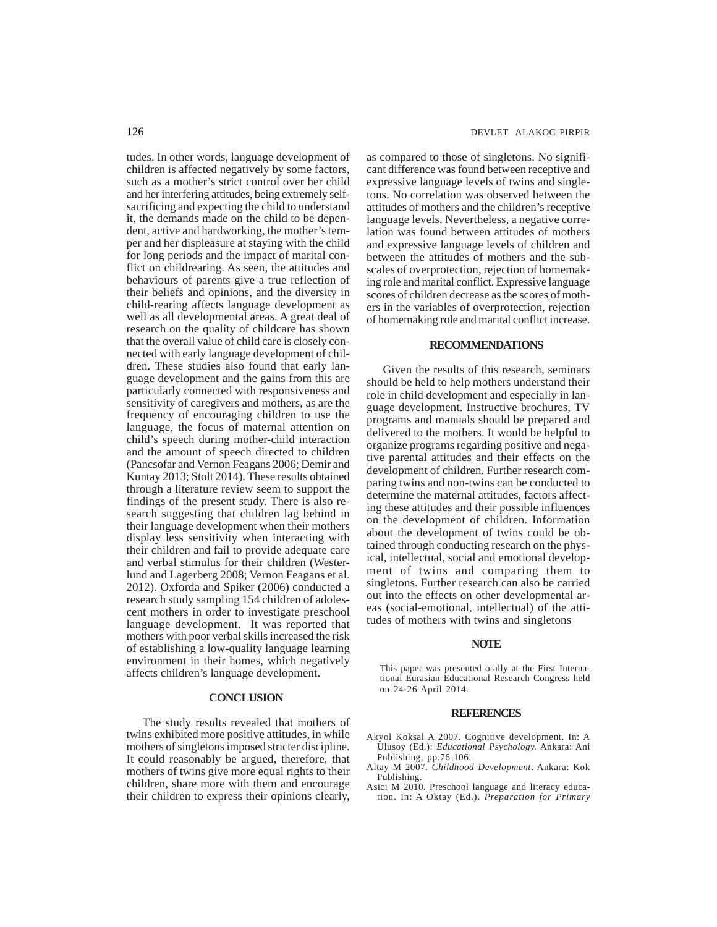tudes. In other words, language development of children is affected negatively by some factors, such as a mother's strict control over her child and her interfering attitudes, being extremely selfsacrificing and expecting the child to understand it, the demands made on the child to be dependent, active and hardworking, the mother's temper and her displeasure at staying with the child for long periods and the impact of marital conflict on childrearing. As seen, the attitudes and behaviours of parents give a true reflection of their beliefs and opinions, and the diversity in child-rearing affects language development as well as all developmental areas. A great deal of research on the quality of childcare has shown that the overall value of child care is closely connected with early language development of children. These studies also found that early language development and the gains from this are particularly connected with responsiveness and sensitivity of caregivers and mothers, as are the frequency of encouraging children to use the language, the focus of maternal attention on child's speech during mother-child interaction and the amount of speech directed to children (Pancsofar and Vernon Feagans 2006; Demir and Kuntay 2013; Stolt 2014). These results obtained through a literature review seem to support the findings of the present study. There is also research suggesting that children lag behind in their language development when their mothers display less sensitivity when interacting with their children and fail to provide adequate care and verbal stimulus for their children (Westerlund and Lagerberg 2008; Vernon Feagans et al. 2012). Oxforda and Spiker (2006) conducted a research study sampling 154 children of adolescent mothers in order to investigate preschool language development. It was reported that mothers with poor verbal skills increased the risk of establishing a low-quality language learning environment in their homes, which negatively affects children's language development.

## **CONCLUSION**

The study results revealed that mothers of twins exhibited more positive attitudes, in while mothers of singletons imposed stricter discipline. It could reasonably be argued, therefore, that mothers of twins give more equal rights to their children, share more with them and encourage their children to express their opinions clearly, as compared to those of singletons. No significant difference was found between receptive and expressive language levels of twins and singletons. No correlation was observed between the attitudes of mothers and the children's receptive language levels. Nevertheless, a negative correlation was found between attitudes of mothers and expressive language levels of children and between the attitudes of mothers and the subscales of overprotection, rejection of homemaking role and marital conflict. Expressive language scores of children decrease as the scores of mothers in the variables of overprotection, rejection of homemaking role and marital conflict increase.

## **RECOMMENDATIONS**

Given the results of this research, seminars should be held to help mothers understand their role in child development and especially in language development. Instructive brochures, TV programs and manuals should be prepared and delivered to the mothers. It would be helpful to organize programs regarding positive and negative parental attitudes and their effects on the development of children. Further research comparing twins and non-twins can be conducted to determine the maternal attitudes, factors affecting these attitudes and their possible influences on the development of children. Information about the development of twins could be obtained through conducting research on the physical, intellectual, social and emotional development of twins and comparing them to singletons. Further research can also be carried out into the effects on other developmental areas (social-emotional, intellectual) of the attitudes of mothers with twins and singletons

## **NOTE**

This paper was presented orally at the First International Eurasian Educational Research Congress held on 24-26 April 2014.

#### **REFERENCES**

- Akyol Koksal A 2007. Cognitive development. In: A Ulusoy (Ed.): *Educational Psychology.* Ankara: Ani Publishing, pp.76-106.
- Altay M 2007. *Childhood Development*. Ankara: Kok Publishing.
- Asici M 2010. Preschool language and literacy education. In: A Oktay (Ed.). *Preparation for Primary*